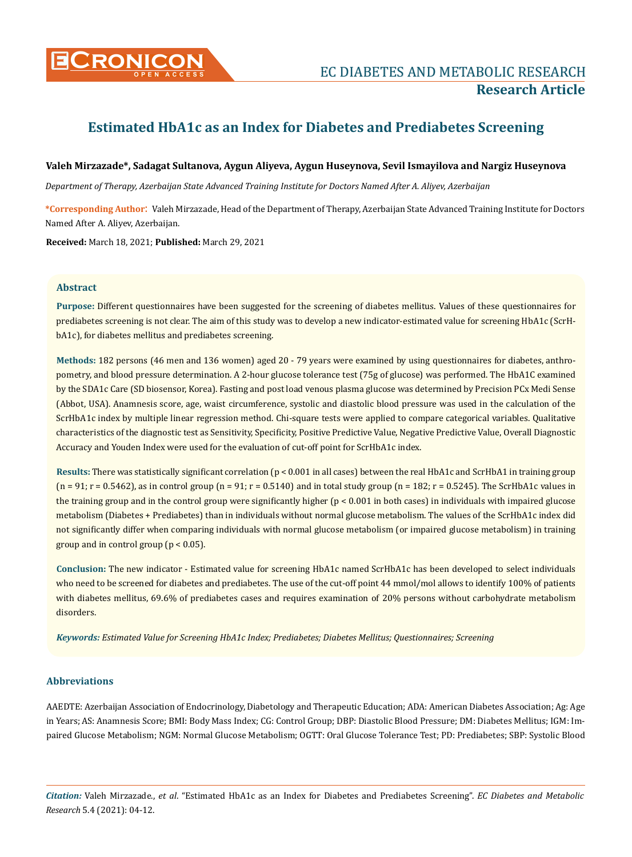

# **Research Article**

# **Estimated HbA1c as an Index for Diabetes and Prediabetes Screening**

# **Valeh Mirzazade\*, Sadagat Sultanova, Aygun Aliyeva, Aygun Huseynova, Sevil Ismayilova and Nargiz Huseynova**

*Department of Therapy, Azerbaijan State Advanced Training Institute for Doctors Named After A. Aliyev, Azerbaijan*

**\*Corresponding Author**: Valeh Mirzazade, Head of the Department of Therapy, Azerbaijan State Advanced Training Institute for Doctors Named After A. Aliyev, Azerbaijan.

**Received:** March 18, 2021; **Published:** March 29, 2021

#### **Abstract**

**Purpose:** Different questionnaires have been suggested for the screening of diabetes mellitus. Values of these questionnaires for prediabetes screening is not clear. The aim of this study was to develop a new indicator-estimated value for screening HbA1c (ScrHbA1c), for diabetes mellitus and prediabetes screening.

**Methods:** 182 persons (46 men and 136 women) aged 20 - 79 years were examined by using questionnaires for diabetes, anthropometry, and blood pressure determination. A 2-hour glucose tolerance test (75g of glucose) was performed. The HbA1C examined by the SDA1c Care (SD biosensor, Korea). Fasting and post load venous plasma glucose was determined by Precision PCx Medi Sense (Abbot, USA). Anamnesis score, age, waist circumference, systolic and diastolic blood pressure was used in the calculation of the ScrHbA1c index by multiple linear regression method. Chi-square tests were applied to compare categorical variables. Qualitative characteristics of the diagnostic test as Sensitivity, Specificity, Positive Predictive Value, Negative Predictive Value, Overall Diagnostic Accuracy and Youden Index were used for the evaluation of cut-off point for ScrHbA1c index.

**Results:** There was statistically significant correlation (p < 0.001 in all cases) between the real HbA1c and ScrHbA1 in training group  $(n = 91; r = 0.5462)$ , as in control group  $(n = 91; r = 0.5140)$  and in total study group  $(n = 182; r = 0.5245)$ . The ScrHbA1c values in the training group and in the control group were significantly higher  $(p < 0.001$  in both cases) in individuals with impaired glucose metabolism (Diabetes + Prediabetes) than in individuals without normal glucose metabolism. The values of the ScrHbA1c index did not significantly differ when comparing individuals with normal glucose metabolism (or impaired glucose metabolism) in training group and in control group (p < 0.05).

**Conclusion:** The new indicator - Estimated value for screening HbA1c named ScrHbA1c has been developed to select individuals who need to be screened for diabetes and prediabetes. The use of the cut-off point 44 mmol/mol allows to identify 100% of patients with diabetes mellitus, 69.6% of prediabetes cases and requires examination of 20% persons without carbohydrate metabolism disorders.

*Keywords: Estimated Value for Screening HbA1c Index; Prediabetes; Diabetes Mellitus; Questionnaires; Screening*

# **Abbreviations**

AAEDTE: Azerbaijan Association of Endocrinology, Diabetology and Therapeutic Education; ADA: American Diabetes Association; Ag: Age in Years; AS: Anamnesis Score; BMI: Body Mass Index; CG: Control Group; DBP: Diastolic Blood Pressure; DM: Diabetes Mellitus; IGM: Impaired Glucose Metabolism; NGM: Normal Glucose Metabolism; OGTT: Oral Glucose Tolerance Test; PD: Prediabetes; SBP: Systolic Blood

*Citation:* Valeh Mirzazade., *et al*. "Estimated HbA1c as an Index for Diabetes and Prediabetes Screening". *EC Diabetes and Metabolic Research* 5.4 (2021): 04-12.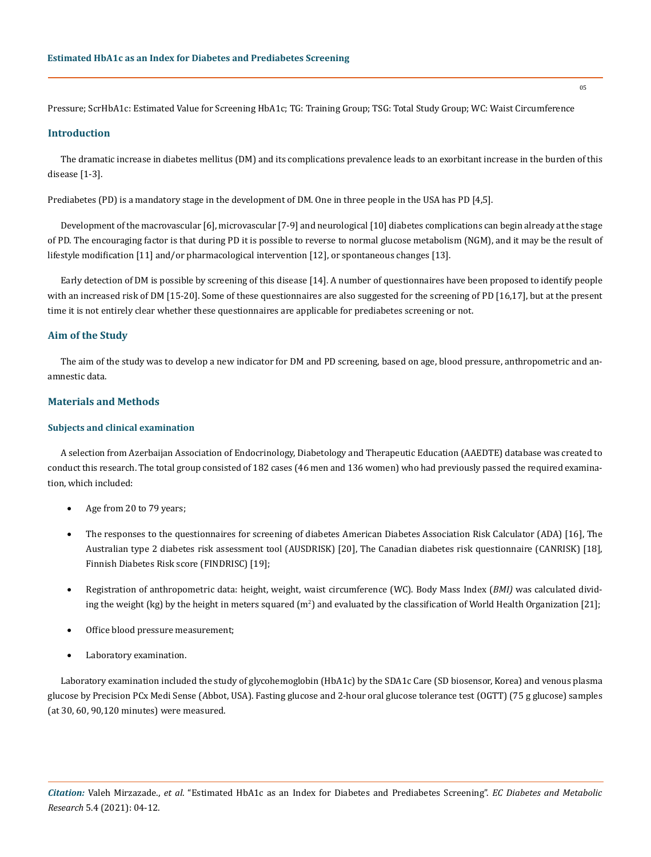Pressure; ScrHbA1c: Estimated Value for Screening HbA1c; TG: Training Group; TSG: Total Study Group; WC: Waist Circumference

#### **Introduction**

The dramatic increase in diabetes mellitus (DM) and its complications prevalence leads to an exorbitant increase in the burden of this disease [1-3].

Prediabetes (PD) is a mandatory stage in the development of DM. One in three people in the USA has PD [4,5].

Development of the macrovascular [6], microvascular [7-9] and neurological [10] diabetes complications can begin already at the stage of PD. The encouraging factor is that during PD it is possible to reverse to normal glucose metabolism (NGM), and it may be the result of lifestyle modification [11] and/or pharmacological intervention [12], or spontaneous changes [13].

Early detection of DM is possible by screening of this disease [14]. A number of questionnaires have been proposed to identify people with an increased risk of DM [15-20]. Some of these questionnaires are also suggested for the screening of PD [16,17], but at the present time it is not entirely clear whether these questionnaires are applicable for prediabetes screening or not.

#### **Aim of the Study**

The aim of the study was to develop a new indicator for DM and PD screening, based on age, blood pressure, anthropometric and anamnestic data.

# **Materials and Methods**

#### **Subjects and clinical examination**

A selection from Azerbaijan Association of Endocrinology, Diabetology and Therapeutic Education (AAEDTE) database was created to conduct this research. The total group consisted of 182 cases (46 men and 136 women) who had previously passed the required examination, which included:

- Age from 20 to 79 years;
- The responses to the questionnaires for screening of diabetes American Diabetes Association Risk Calculator (ADA) [16], The Australian type 2 diabetes risk assessment tool (AUSDRISK) [20], The Canadian diabetes risk questionnaire (CANRISK) [18], Finnish Diabetes Risk score (FINDRISC) [19];
- Registration of anthropometric data: height, weight, waist circumference (WC). Body Mass Index (*BMI*) was calculated dividing the weight (kg) by the height in meters squared (m<sup>2</sup>) and evaluated by the classification of World Health Organization [21];
- Office blood pressure measurement;
- Laboratory examination.

Laboratory examination included the study of glycohemoglobin (HbA1c) by the SDA1c Care (SD biosensor, Korea) and venous plasma glucose by Precision PCx Medi Sense (Abbot, USA). Fasting glucose and 2-hour oral glucose tolerance test (OGTT) (75 g glucose) samples (at 30, 60, 90,120 minutes) were measured.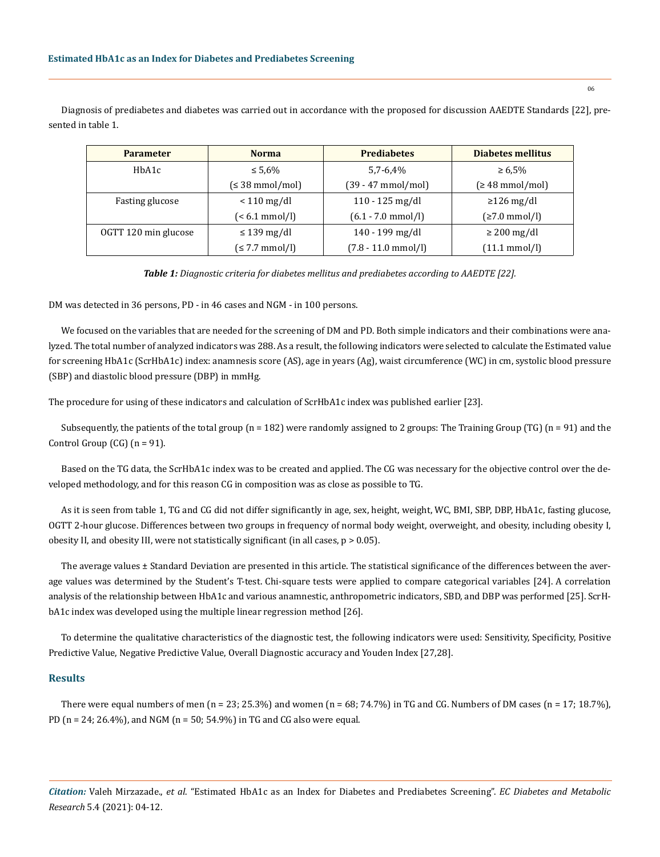Diagnosis of prediabetes and diabetes was carried out in accordance with the proposed for discussion AAEDTE Standards [22], presented in table 1.

| <b>Parameter</b>     | <b>Norma</b>                 | <b>Prediabetes</b>            | Diabetes mellitus       |  |
|----------------------|------------------------------|-------------------------------|-------------------------|--|
| HbA1c                | $\leq 5.6\%$                 | $5,7-6,4%$                    | $\geq 6.5\%$            |  |
|                      | $(\leq 38 \text{ mmol/mol})$ | $(39 - 47$ mmol/mol)          | $\leq 48$ mmol/mol)     |  |
| Fasting glucose      | $< 110$ mg/dl                | $110 - 125$ mg/dl             | $\geq$ 126 mg/dl        |  |
|                      | $\approx 6.1 \text{ mmol/l}$ | $(6.1 - 7.0 \text{ mmol/l})$  | (≥7.0 mmol/l)           |  |
| OGTT 120 min glucose | $\leq$ 139 mg/dl             | 140 - 199 mg/dl               | $\geq$ 200 mg/dl        |  |
|                      | $(\leq 7.7$ mmol/l)          | $(7.8 - 11.0 \text{ mmol/l})$ | $(11.1 \text{ mmol/l})$ |  |

*Table 1: Diagnostic criteria for diabetes mellitus and prediabetes according to AAEDTE [22].*

DM was detected in 36 persons, PD - in 46 cases and NGM - in 100 persons.

We focused on the variables that are needed for the screening of DM and PD. Both simple indicators and their combinations were analyzed. The total number of analyzed indicators was 288. As a result, the following indicators were selected to calculate the Estimated value for screening HbA1c (ScrHbA1c) index: anamnesis score (AS), age in years (Ag), waist circumference (WC) in cm, systolic blood pressure (SBP) and diastolic blood pressure (DBP) in mmHg.

The procedure for using of these indicators and calculation of ScrHbA1c index was published earlier [23].

Subsequently, the patients of the total group ( $n = 182$ ) were randomly assigned to 2 groups: The Training Group (TG) ( $n = 91$ ) and the Control Group  $(CG)$   $(n = 91)$ .

Based on the TG data, the ScrHbA1c index was to be created and applied. The CG was necessary for the objective control over the developed methodology, and for this reason CG in composition was as close as possible to TG.

As it is seen from table 1, TG and CG did not differ significantly in age, sex, height, weight, WC, BMI, SBP, DBP, HbA1c, fasting glucose, OGTT 2-hour glucose. Differences between two groups in frequency of normal body weight, overweight, and obesity, including obesity I, obesity II, and obesity III, were not statistically significant (in all cases, p > 0.05).

The average values ± Standard Deviation are presented in this article. The statistical significance of the differences between the average values was determined by the Student's T-test. Chi-square tests were applied to compare categorical variables [24]. A correlation analysis of the relationship between HbA1c and various anamnestic, anthropometric indicators, SBD, and DBP was performed [25]. ScrHbA1c index was developed using the multiple linear regression method [26].

To determine the qualitative characteristics of the diagnostic test, the following indicators were used: Sensitivity, Specificity, Positive Predictive Value, Negative Predictive Value, Overall Diagnostic accuracy and Youden Index [27,28].

#### **Results**

There were equal numbers of men (n = 23; 25.3%) and women (n = 68; 74.7%) in TG and CG. Numbers of DM cases (n = 17; 18.7%), PD (n = 24; 26.4%), and NGM (n = 50; 54.9%) in TG and CG also were equal.

*Citation:* Valeh Mirzazade., *et al*. "Estimated HbA1c as an Index for Diabetes and Prediabetes Screening". *EC Diabetes and Metabolic Research* 5.4 (2021): 04-12.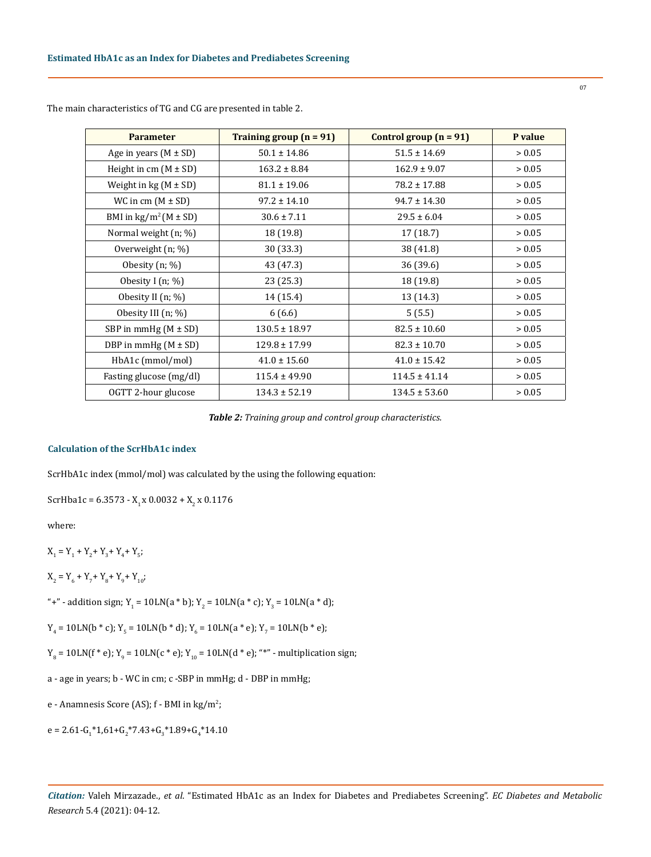| <b>Parameter</b>                    | Training group $(n = 91)$ | Control group $(n = 91)$ | P value |
|-------------------------------------|---------------------------|--------------------------|---------|
| Age in years $(M \pm SD)$           | $50.1 \pm 14.86$          | $51.5 \pm 14.69$         | > 0.05  |
| Height in cm $(M \pm SD)$           | $163.2 \pm 8.84$          | $162.9 \pm 9.07$         | > 0.05  |
| Weight in $kg (M \pm SD)$           | $81.1 \pm 19.06$          | $78.2 \pm 17.88$         | > 0.05  |
| WC in cm $(M \pm SD)$               | $97.2 \pm 14.10$          | $94.7 \pm 14.30$         | > 0.05  |
| BMI in $\text{kg/m}^2$ (M $\pm$ SD) | $30.6 \pm 7.11$           | $29.5 \pm 6.04$          | > 0.05  |
| Normal weight (n; %)                | 18 (19.8)                 | 17 (18.7)                | > 0.05  |
| Overweight (n; %)                   | 30 (33.3)                 | 38 (41.8)                | > 0.05  |
| Obesity $(n; \%)$                   | 43 (47.3)                 | 36 (39.6)                | > 0.05  |
| Obesity I $(n; \%)$                 | 23(25.3)                  | 18 (19.8)                | > 0.05  |
| Obesity II $(n; \%)$                | 14 (15.4)                 | 13 (14.3)                | > 0.05  |
| Obesity III $(n; \%)$               | 6(6.6)                    | 5(5.5)                   | > 0.05  |
| SBP in mmHg $(M \pm SD)$            | $130.5 \pm 18.97$         | $82.5 \pm 10.60$         | > 0.05  |
| DBP in mmHg $(M \pm SD)$            | $129.8 \pm 17.99$         | $82.3 \pm 10.70$         | > 0.05  |
| HbA1c (mmol/mol)                    | $41.0 \pm 15.60$          | $41.0 \pm 15.42$         | > 0.05  |
| Fasting glucose (mg/dl)             | $115.4 \pm 49.90$         | $114.5 \pm 41.14$        | > 0.05  |
| OGTT 2-hour glucose                 | $134.3 \pm 52.19$         | $134.5 \pm 53.60$        | > 0.05  |

The main characteristics of TG and CG are presented in table 2.

*Table 2: Training group and control group characteristics.*

# **Calculation of the ScrHbA1c index**

ScrHbA1c index (mmol/mol) was calculated by the using the following equation:

ScrHba1c = 6.3573 - X<sub>1</sub> x 0.0032 + X<sub>2</sub> x 0.1176

where:

 $X_1 = Y_1 + Y_2 + Y_3 + Y_4 + Y_5;$ 

$$
\mathbf{X_2} = \mathbf{Y_6} + \mathbf{Y_7} + \mathbf{Y_8} + \mathbf{Y_9} + \mathbf{Y_{10}};
$$

"+" - addition sign; Y<sub>1</sub> = 10LN(a \* b); Y<sub>2</sub> = 10LN(a \* c); Y<sub>3</sub> = 10LN(a \* d);

 $Y_4$  = 10LN(b  $*$  c);  $Y_5$  = 10LN(b  $*$  d);  $Y_6$  = 10LN(a  $*$  e);  $Y_7$  = 10LN(b  $*$  e);

 $Y_8$  = 10LN(f  $*$  e); Y<sub>9</sub> = 10LN(c  $*$  e); Y<sub>10</sub> = 10LN(d  $*$  e); " $*$ " - multiplication sign;

a - age in years; b - WC in cm; c -SBP in mmHg; d - DBP in mmHg;

e - Anamnesis Score (AS); f - BMI in kg/m<sup>2</sup>;

e = 2.61-G<sub>1</sub>\*1,61+G<sub>2</sub>\*7.43+G<sub>3</sub>\*1.89+G<sub>4</sub>\*14.10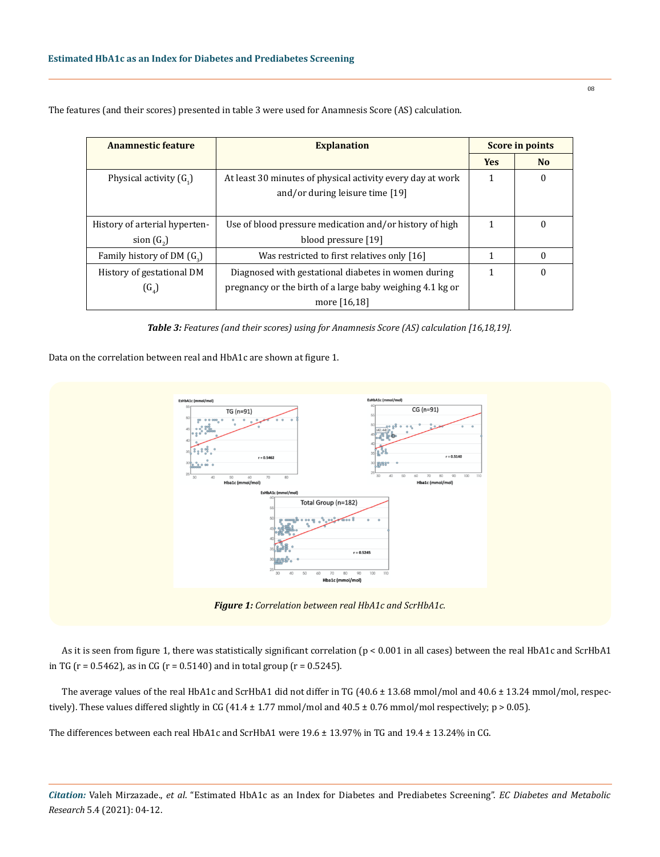| Anamnestic feature<br><b>Explanation</b> |                                                            | <b>Score in points</b> |                  |
|------------------------------------------|------------------------------------------------------------|------------------------|------------------|
|                                          |                                                            |                        | N <sub>o</sub>   |
| Physical activity $(G_1)$                | At least 30 minutes of physical activity every day at work |                        | $\bf{0}$         |
|                                          | and/or during leisure time [19]                            |                        |                  |
|                                          |                                                            |                        |                  |
| History of arterial hyperten-            | Use of blood pressure medication and/or history of high    |                        | $\boldsymbol{0}$ |
| sion $(G_2)$                             | blood pressure [19]                                        |                        |                  |
| Family history of DM $(G_2)$             | Was restricted to first relatives only [16]                | 1                      | $\bf{0}$         |
| History of gestational DM                | Diagnosed with gestational diabetes in women during        |                        | $\boldsymbol{0}$ |
| $(G_{\alpha})$                           | pregnancy or the birth of a large baby weighing 4.1 kg or  |                        |                  |
|                                          | more [16,18]                                               |                        |                  |

The features (and their scores) presented in table 3 were used for Anamnesis Score (AS) calculation.

*Table 3: Features (and their scores) using for Anamnesis Score (AS) calculation [16,18,19].*

Data on the correlation between real and HbA1c are shown at figure 1.



As it is seen from figure 1, there was statistically significant correlation (p < 0.001 in all cases) between the real HbA1c and ScrHbA1 in TG ( $r = 0.5462$ ), as in CG ( $r = 0.5140$ ) and in total group ( $r = 0.5245$ ).

The average values of the real HbA1c and ScrHbA1 did not differ in TG (40.6 ± 13.68 mmol/mol and 40.6 ± 13.24 mmol/mol, respectively). These values differed slightly in CG (41.4  $\pm$  1.77 mmol/mol and 40.5  $\pm$  0.76 mmol/mol respectively; p > 0.05).

The differences between each real HbA1c and ScrHbA1 were 19.6 ± 13.97% in TG and 19.4 ± 13.24% in CG.

*Citation:* Valeh Mirzazade., *et al*. "Estimated HbA1c as an Index for Diabetes and Prediabetes Screening". *EC Diabetes and Metabolic Research* 5.4 (2021): 04-12.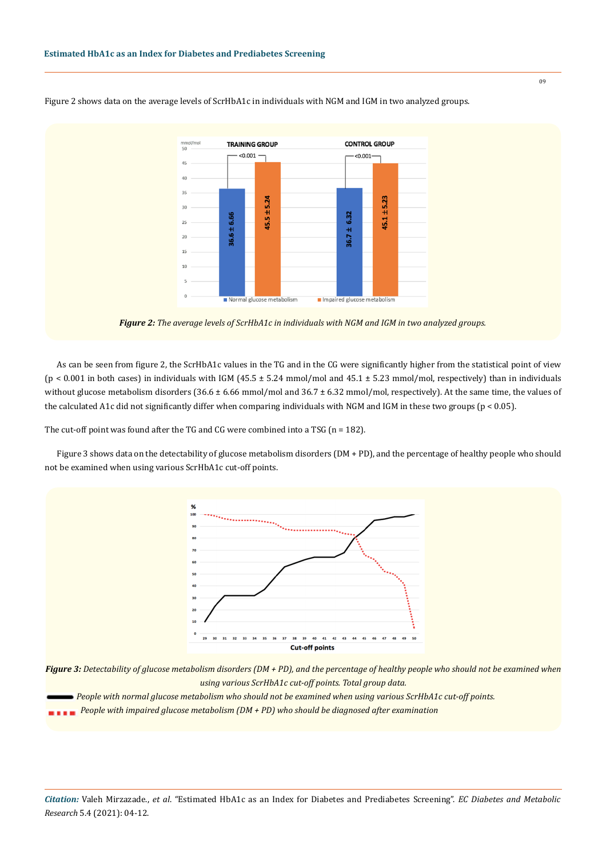

Figure 2 shows data on the average levels of ScrHbA1c in individuals with NGM and IGM in two analyzed groups.

*Figure 2: The average levels of ScrHbA1c in individuals with NGM and IGM in two analyzed groups.*

As can be seen from figure 2, the ScrHbA1c values in the TG and in the CG were significantly higher from the statistical point of view ( $p < 0.001$  in both cases) in individuals with IGM (45.5  $\pm$  5.24 mmol/mol and 45.1  $\pm$  5.23 mmol/mol, respectively) than in individuals without glucose metabolism disorders  $(36.6 \pm 6.66 \text{ mmol/mol})$  and  $36.7 \pm 6.32 \text{ mmol/mol}$ , respectively). At the same time, the values of the calculated A1c did not significantly differ when comparing individuals with NGM and IGM in these two groups (p < 0.05).

The cut-off point was found after the TG and CG were combined into a TSG (n = 182).

Figure 3 shows data on the detectability of glucose metabolism disorders (DM + PD), and the percentage of healthy people who should not be examined when using various ScrHbA1c cut-off points.





 *People with impaired glucose metabolism (DM + PD) who should be diagnosed after examination*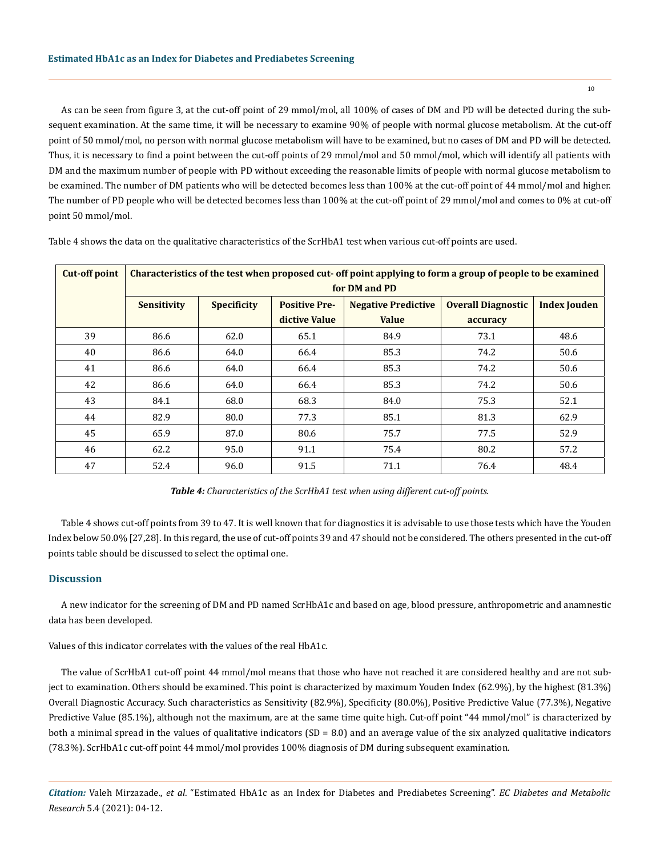As can be seen from figure 3, at the cut-off point of 29 mmol/mol, all 100% of cases of DM and PD will be detected during the subsequent examination. At the same time, it will be necessary to examine 90% of people with normal glucose metabolism. At the cut-off point of 50 mmol/mol, no person with normal glucose metabolism will have to be examined, but no cases of DM and PD will be detected. Thus, it is necessary to find a point between the cut-off points of 29 mmol/mol and 50 mmol/mol, which will identify all patients with DM and the maximum number of people with PD without exceeding the reasonable limits of people with normal glucose metabolism to be examined. The number of DM patients who will be detected becomes less than 100% at the cut-off point of 44 mmol/mol and higher. The number of PD people who will be detected becomes less than 100% at the cut-off point of 29 mmol/mol and comes to 0% at cut-off point 50 mmol/mol.

| <b>Cut-off point</b> | Characteristics of the test when proposed cut- off point applying to form a group of people to be examined |                    |                      |                            |                           |                     |  |
|----------------------|------------------------------------------------------------------------------------------------------------|--------------------|----------------------|----------------------------|---------------------------|---------------------|--|
|                      | for DM and PD                                                                                              |                    |                      |                            |                           |                     |  |
|                      | <b>Sensitivity</b>                                                                                         | <b>Specificity</b> | <b>Positive Pre-</b> | <b>Negative Predictive</b> | <b>Overall Diagnostic</b> | <b>Index Jouden</b> |  |
|                      |                                                                                                            |                    | dictive Value        | <b>Value</b>               | accuracy                  |                     |  |
| 39                   | 86.6                                                                                                       | 62.0               | 65.1                 | 84.9                       | 73.1                      | 48.6                |  |
| 40                   | 86.6                                                                                                       | 64.0               | 66.4                 | 85.3                       | 74.2                      | 50.6                |  |
| 41                   | 86.6                                                                                                       | 64.0               | 66.4                 | 85.3                       | 74.2                      | 50.6                |  |
| 42                   | 86.6                                                                                                       | 64.0               | 66.4                 | 85.3                       | 74.2                      | 50.6                |  |
| 43                   | 84.1                                                                                                       | 68.0               | 68.3                 | 84.0                       | 75.3                      | 52.1                |  |
| 44                   | 82.9                                                                                                       | 80.0               | 77.3                 | 85.1                       | 81.3                      | 62.9                |  |
| 45                   | 65.9                                                                                                       | 87.0               | 80.6                 | 75.7                       | 77.5                      | 52.9                |  |
| 46                   | 62.2                                                                                                       | 95.0               | 91.1                 | 75.4                       | 80.2                      | 57.2                |  |
| 47                   | 52.4                                                                                                       | 96.0               | 91.5                 | 71.1                       | 76.4                      | 48.4                |  |

Table 4 shows the data on the qualitative characteristics of the ScrHbA1 test when various cut-off points are used.

*Table 4: Characteristics of the ScrHbA1 test when using different cut-off points.*

Table 4 shows cut-off points from 39 to 47. It is well known that for diagnostics it is advisable to use those tests which have the Youden Index below 50.0% [27,28]. In this regard, the use of cut-off points 39 and 47 should not be considered. The others presented in the cut-off points table should be discussed to select the optimal one.

# **Discussion**

A new indicator for the screening of DM and PD named ScrHbA1c and based on age, blood pressure, anthropometric and anamnestic data has been developed.

Values of this indicator correlates with the values of the real HbA1c.

The value of ScrHbA1 cut-off point 44 mmol/mol means that those who have not reached it are considered healthy and are not subject to examination. Others should be examined. This point is characterized by maximum Youden Index (62.9%), by the highest (81.3%) Overall Diagnostic Accuracy. Such characteristics as Sensitivity (82.9%), Specificity (80.0%), Positive Predictive Value (77.3%), Negative Predictive Value (85.1%), although not the maximum, are at the same time quite high. Cut-off point "44 mmol/mol" is characterized by both a minimal spread in the values of qualitative indicators (SD = 8.0) and an average value of the six analyzed qualitative indicators (78.3%). ScrHbA1c cut-off point 44 mmol/mol provides 100% diagnosis of DM during subsequent examination.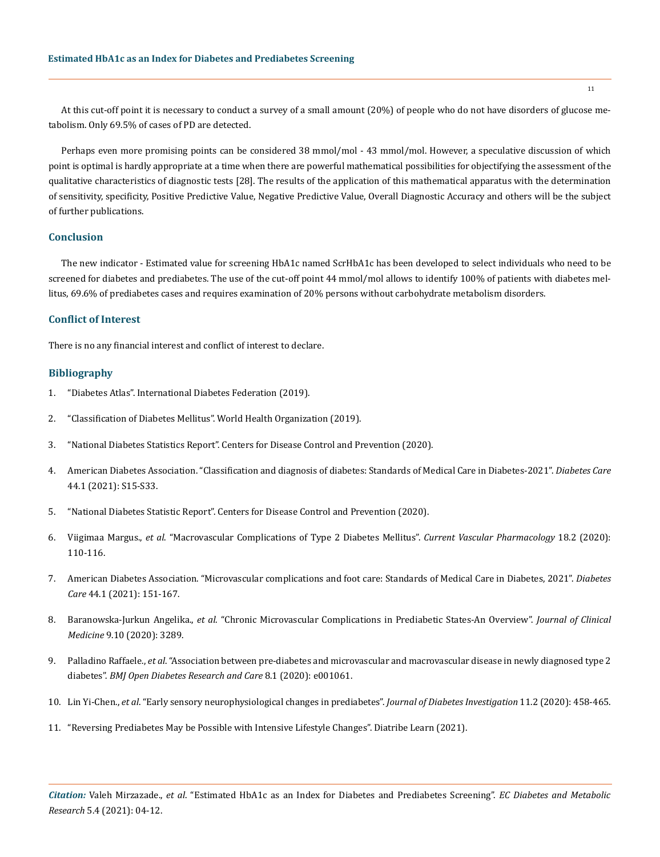At this cut-off point it is necessary to conduct a survey of a small amount (20%) of people who do not have disorders of glucose metabolism. Only 69.5% of cases of PD are detected.

Perhaps even more promising points can be considered 38 mmol/mol - 43 mmol/mol. However, a speculative discussion of which point is optimal is hardly appropriate at a time when there are powerful mathematical possibilities for objectifying the assessment of the qualitative characteristics of diagnostic tests [28]. The results of the application of this mathematical apparatus with the determination of sensitivity, specificity, Positive Predictive Value, Negative Predictive Value, Overall Diagnostic Accuracy and others will be the subject of further publications.

#### **Conclusion**

The new indicator - Estimated value for screening HbA1c named ScrHbA1c has been developed to select individuals who need to be screened for diabetes and prediabetes. The use of the cut-off point 44 mmol/mol allows to identify 100% of patients with diabetes mellitus, 69.6% of prediabetes cases and requires examination of 20% persons without carbohydrate metabolism disorders.

## **Conflict of Interest**

There is no any financial interest and conflict of interest to declare.

#### **Bibliography**

- 1. ["Diabetes Atlas". International Diabetes Federation \(2019\).](https://www.diabetesatlas.org/en/)
- 2. ["Classification of Diabetes Mellitus". World Health Organization \(2019\).](https://apps.who.int/iris/rest/bitstreams/1233344/retrieve)
- 3. ["National Diabetes Statistics Report". Centers for Disease Control and Prevention \(2020\).](https://www.cdc.gov/diabetes/library/features/diabetes-stat-report.html)
- 4. [American Diabetes Association. "Classification and diagnosis of diabetes: Standards of Medical Care in Diabetes-2021".](https://pubmed.ncbi.nlm.nih.gov/33298413/) *Diabetes Care* [44.1 \(2021\): S15-S33.](https://pubmed.ncbi.nlm.nih.gov/33298413/)
- 5. "National Diabetes Statistic Report". Centers for Disease Control and Prevention (2020).
- 6. Viigimaa Margus., *et al*[. "Macrovascular Complications of Type 2 Diabetes Mellitus".](https://pubmed.ncbi.nlm.nih.gov/30961498/) *Current Vascular Pharmacology* 18.2 (2020): [110-116.](https://pubmed.ncbi.nlm.nih.gov/30961498/)
- 7. [American Diabetes Association. "Microvascular complications and foot care: Standards of Medical Care in Diabetes, 2021".](https://pubmed.ncbi.nlm.nih.gov/33298422/) *Diabetes Care* [44.1 \(2021\): 151-167.](https://pubmed.ncbi.nlm.nih.gov/33298422/)
- 8. Baranowska-Jurkun Angelika., *et al*[. "Chronic Microvascular Complications in Prediabetic States-An Overview".](https://pubmed.ncbi.nlm.nih.gov/33066307/) *Journal of Clinical Medicine* [9.10 \(2020\): 3289.](https://pubmed.ncbi.nlm.nih.gov/33066307/)
- 9. Palladino Raffaele., *et al*[. "Association between pre-diabetes and microvascular and macrovascular disease in newly diagnosed type 2](https://pubmed.ncbi.nlm.nih.gov/32332069/)  diabetes". *[BMJ Open Diabetes Research and Care](https://pubmed.ncbi.nlm.nih.gov/32332069/)* 8.1 (2020): e001061.
- 10. Lin Yi-Chen., *et al*[. "Early sensory neurophysiological changes in prediabetes".](https://pubmed.ncbi.nlm.nih.gov/31563156/) *Journal of Diabetes Investigation* 11.2 (2020): 458-465.
- 11. ["Reversing Prediabetes May be Possible with Intensive Lifestyle Changes". Diatribe Learn \(2021\).](https://diatribe.org/reversing-prediabetes-with-intensive-lifestyle-changes)

*Citation:* Valeh Mirzazade., *et al*. "Estimated HbA1c as an Index for Diabetes and Prediabetes Screening". *EC Diabetes and Metabolic Research* 5.4 (2021): 04-12.